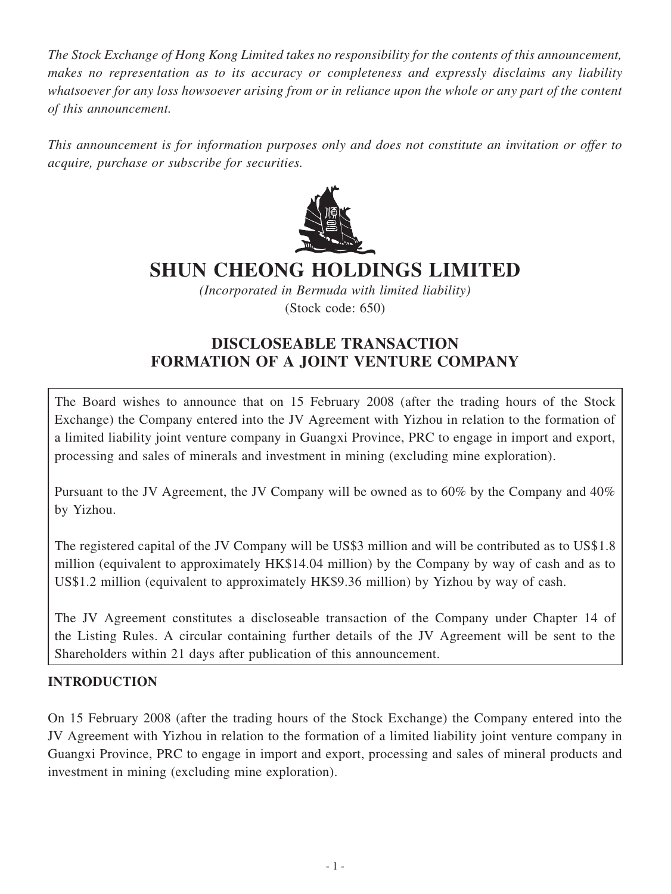*The Stock Exchange of Hong Kong Limited takes no responsibility for the contents of this announcement, makes no representation as to its accuracy or completeness and expressly disclaims any liability whatsoever for any loss howsoever arising from or in reliance upon the whole or any part of the content of this announcement.*

*This announcement is for information purposes only and does not constitute an invitation or offer to acquire, purchase or subscribe for securities.*



# **SHUN CHEONG HOLDINGS LIMITED**

*(Incorporated in Bermuda with limited liability)*

(Stock code: 650)

# **DISCLOSEABLE TRANSACTION FORMATION OF A JOINT VENTURE COMPANY**

The Board wishes to announce that on 15 February 2008 (after the trading hours of the Stock Exchange) the Company entered into the JV Agreement with Yizhou in relation to the formation of a limited liability joint venture company in Guangxi Province, PRC to engage in import and export, processing and sales of minerals and investment in mining (excluding mine exploration).

Pursuant to the JV Agreement, the JV Company will be owned as to 60% by the Company and 40% by Yizhou.

The registered capital of the JV Company will be US\$3 million and will be contributed as to US\$1.8 million (equivalent to approximately HK\$14.04 million) by the Company by way of cash and as to US\$1.2 million (equivalent to approximately HK\$9.36 million) by Yizhou by way of cash.

The JV Agreement constitutes a discloseable transaction of the Company under Chapter 14 of the Listing Rules. A circular containing further details of the JV Agreement will be sent to the Shareholders within 21 days after publication of this announcement.

# **INTRODUCTION**

On 15 February 2008 (after the trading hours of the Stock Exchange) the Company entered into the JV Agreement with Yizhou in relation to the formation of a limited liability joint venture company in Guangxi Province, PRC to engage in import and export, processing and sales of mineral products and investment in mining (excluding mine exploration).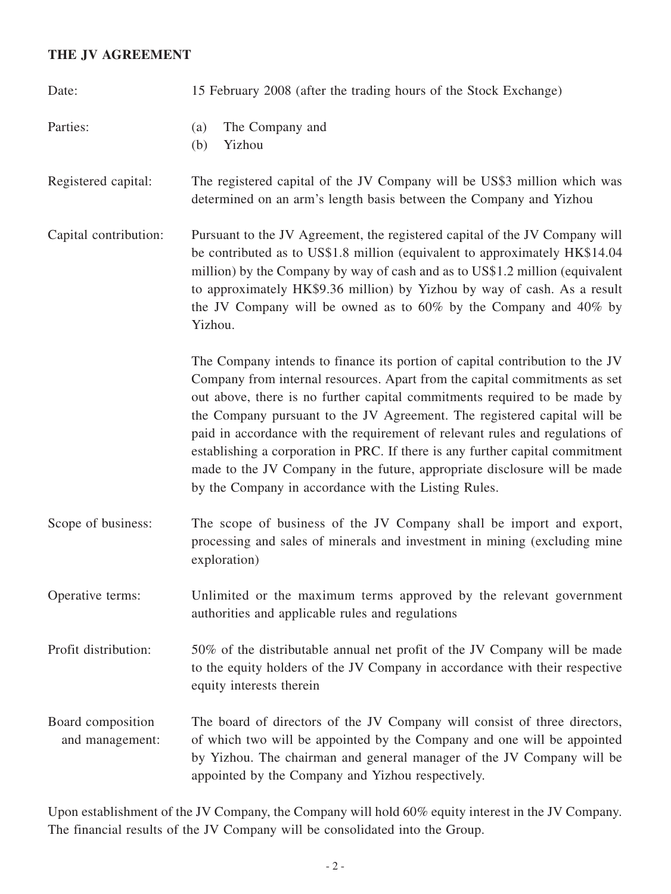#### **THE JV AGREEMENT**

| Date:                                | 15 February 2008 (after the trading hours of the Stock Exchange)                                                                                                                                                                                                                                                                                                                                                                                                                                                                                                                                                          |
|--------------------------------------|---------------------------------------------------------------------------------------------------------------------------------------------------------------------------------------------------------------------------------------------------------------------------------------------------------------------------------------------------------------------------------------------------------------------------------------------------------------------------------------------------------------------------------------------------------------------------------------------------------------------------|
| Parties:                             | The Company and<br>(a)<br>Yizhou<br>(b)                                                                                                                                                                                                                                                                                                                                                                                                                                                                                                                                                                                   |
| Registered capital:                  | The registered capital of the JV Company will be US\$3 million which was<br>determined on an arm's length basis between the Company and Yizhou                                                                                                                                                                                                                                                                                                                                                                                                                                                                            |
| Capital contribution:                | Pursuant to the JV Agreement, the registered capital of the JV Company will<br>be contributed as to US\$1.8 million (equivalent to approximately HK\$14.04<br>million) by the Company by way of cash and as to US\$1.2 million (equivalent<br>to approximately HK\$9.36 million) by Yizhou by way of cash. As a result<br>the JV Company will be owned as to $60\%$ by the Company and $40\%$ by<br>Yizhou.                                                                                                                                                                                                               |
|                                      | The Company intends to finance its portion of capital contribution to the JV<br>Company from internal resources. Apart from the capital commitments as set<br>out above, there is no further capital commitments required to be made by<br>the Company pursuant to the JV Agreement. The registered capital will be<br>paid in accordance with the requirement of relevant rules and regulations of<br>establishing a corporation in PRC. If there is any further capital commitment<br>made to the JV Company in the future, appropriate disclosure will be made<br>by the Company in accordance with the Listing Rules. |
| Scope of business:                   | The scope of business of the JV Company shall be import and export,<br>processing and sales of minerals and investment in mining (excluding mine<br>exploration)                                                                                                                                                                                                                                                                                                                                                                                                                                                          |
| Operative terms:                     | Unlimited or the maximum terms approved by the relevant government<br>authorities and applicable rules and regulations                                                                                                                                                                                                                                                                                                                                                                                                                                                                                                    |
| Profit distribution:                 | 50% of the distributable annual net profit of the JV Company will be made<br>to the equity holders of the JV Company in accordance with their respective<br>equity interests therein                                                                                                                                                                                                                                                                                                                                                                                                                                      |
| Board composition<br>and management: | The board of directors of the JV Company will consist of three directors,<br>of which two will be appointed by the Company and one will be appointed<br>by Yizhou. The chairman and general manager of the JV Company will be<br>appointed by the Company and Yizhou respectively.                                                                                                                                                                                                                                                                                                                                        |

Upon establishment of the JV Company, the Company will hold 60% equity interest in the JV Company. The financial results of the JV Company will be consolidated into the Group.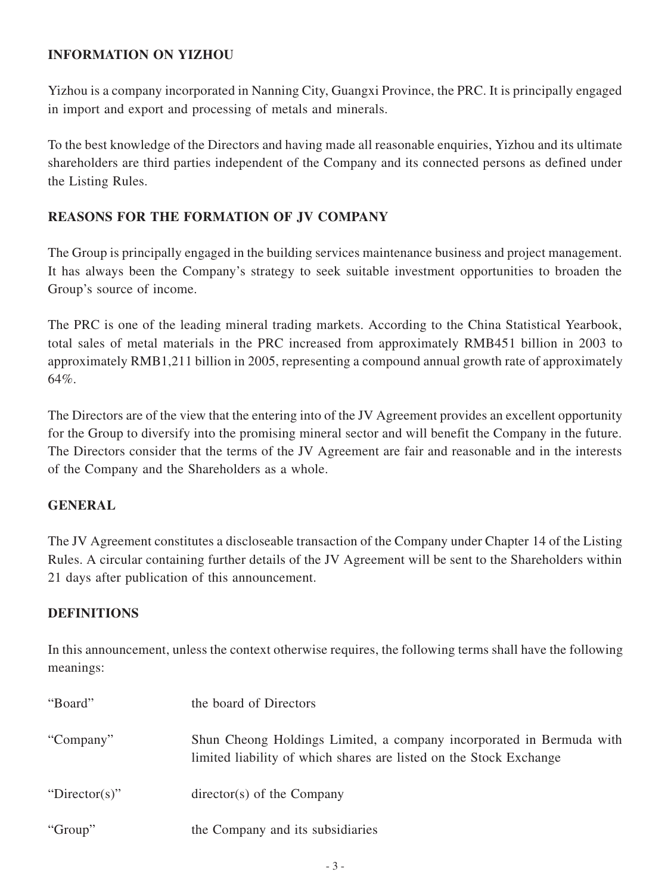#### **INFORMATION ON YIZHOU**

Yizhou is a company incorporated in Nanning City, Guangxi Province, the PRC. It is principally engaged in import and export and processing of metals and minerals.

To the best knowledge of the Directors and having made all reasonable enquiries, Yizhou and its ultimate shareholders are third parties independent of the Company and its connected persons as defined under the Listing Rules.

# **REASONS FOR THE FORMATION OF JV COMPANY**

The Group is principally engaged in the building services maintenance business and project management. It has always been the Company's strategy to seek suitable investment opportunities to broaden the Group's source of income.

The PRC is one of the leading mineral trading markets. According to the China Statistical Yearbook, total sales of metal materials in the PRC increased from approximately RMB451 billion in 2003 to approximately RMB1,211 billion in 2005, representing a compound annual growth rate of approximately 64%.

The Directors are of the view that the entering into of the JV Agreement provides an excellent opportunity for the Group to diversify into the promising mineral sector and will benefit the Company in the future. The Directors consider that the terms of the JV Agreement are fair and reasonable and in the interests of the Company and the Shareholders as a whole.

# **GENERAL**

The JV Agreement constitutes a discloseable transaction of the Company under Chapter 14 of the Listing Rules. A circular containing further details of the JV Agreement will be sent to the Shareholders within 21 days after publication of this announcement.

# **DEFINITIONS**

In this announcement, unless the context otherwise requires, the following terms shall have the following meanings:

| "Board"       | the board of Directors                                                                                                                     |
|---------------|--------------------------------------------------------------------------------------------------------------------------------------------|
| "Company"     | Shun Cheong Holdings Limited, a company incorporated in Bermuda with<br>limited liability of which shares are listed on the Stock Exchange |
| "Director(s)" | $\text{directory}(s)$ of the Company                                                                                                       |
| "Group"       | the Company and its subsidiaries                                                                                                           |